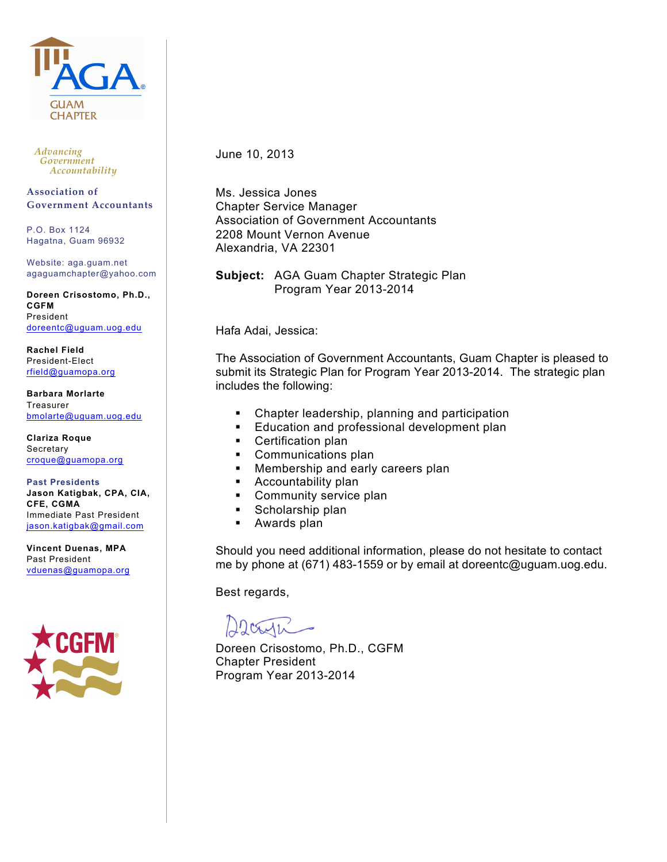

*Advancing Government Accountability*

**Association of Government Accountants**

P.O. Box 1124 Hagatna, Guam 96932

Website: aga.guam.net agaguamchapter@yahoo.com

**Doreen Crisostomo, Ph.D., CGFM** President doreentc@uguam.uog.edu

**Rachel Field** President-Elect rfield@guamopa.org

**Barbara Morlarte Treasurer** bmolarte@uguam.uog.edu

**Clariza Roque Secretary** croque@guamopa.org

**Past Presidents Jason Katigbak, CPA, CIA, CFE, CGMA** Immediate Past President jason.katigbak@gmail.com

**Vincent Duenas, MPA** Past President vduenas@guamopa.org



June 10, 2013

Ms. Jessica Jones Chapter Service Manager Association of Government Accountants 2208 Mount Vernon Avenue Alexandria, VA 22301

**Subject:** AGA Guam Chapter Strategic Plan Program Year 2013-2014

Hafa Adai, Jessica:

The Association of Government Accountants, Guam Chapter is pleased to submit its Strategic Plan for Program Year 2013-2014. The strategic plan includes the following:

- **•** Chapter leadership, planning and participation
- **Education and professional development plan**
- **Certification plan**
- **Communications plan**
- Membership and early careers plan
- **Accountability plan**
- **•** Community service plan
- Scholarship plan
- Awards plan

Should you need additional information, please do not hesitate to contact me by phone at (671) 483-1559 or by email at doreentc@uguam.uog.edu.

Best regards,

 $CM11$ 

Doreen Crisostomo, Ph.D., CGFM Chapter President Program Year 2013-2014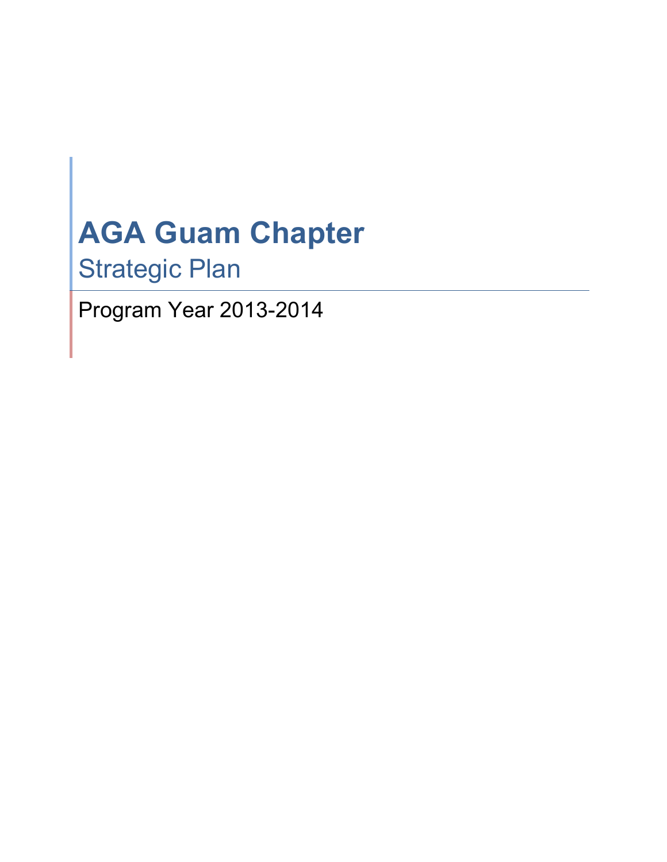# **AGA Guam Chapter**

Strategic Plan

Program Year 2013-2014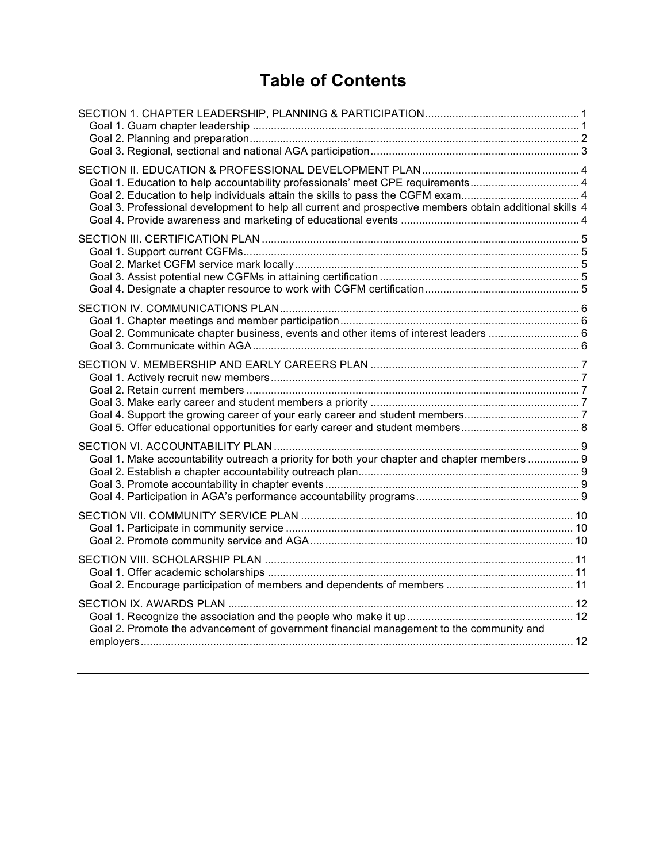# **Table of Contents**

| Goal 1. Education to help accountability professionals' meet CPE requirements 4<br>Goal 3. Professional development to help all current and prospective members obtain additional skills 4 |  |
|--------------------------------------------------------------------------------------------------------------------------------------------------------------------------------------------|--|
|                                                                                                                                                                                            |  |
| Goal 2. Communicate chapter business, events and other items of interest leaders  6                                                                                                        |  |
|                                                                                                                                                                                            |  |
| Goal 1. Make accountability outreach a priority for both your chapter and chapter members  9                                                                                               |  |
|                                                                                                                                                                                            |  |
|                                                                                                                                                                                            |  |
| Goal 2. Promote the advancement of government financial management to the community and                                                                                                    |  |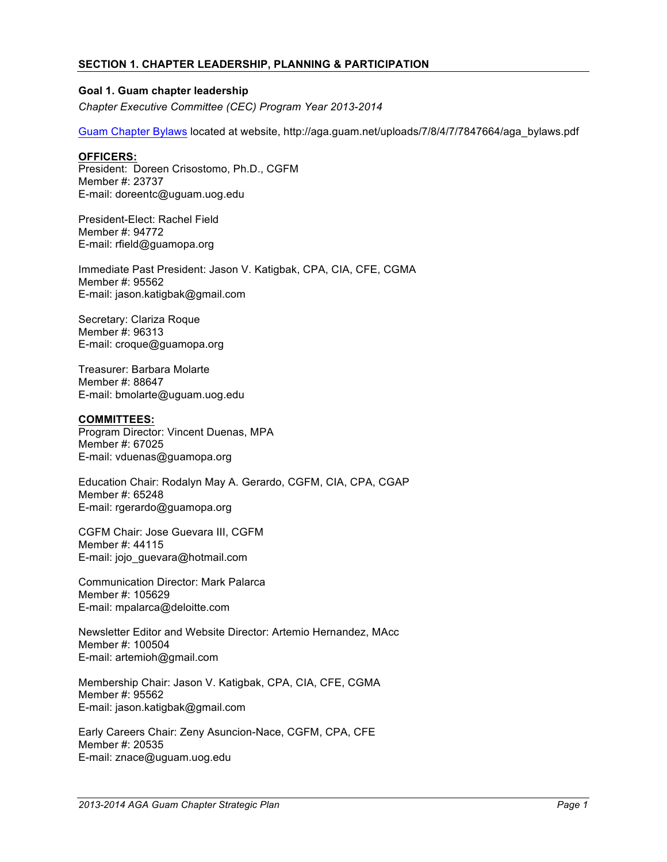#### **SECTION 1. CHAPTER LEADERSHIP, PLANNING & PARTICIPATION**

#### **Goal 1. Guam chapter leadership**

*Chapter Executive Committee (CEC) Program Year 2013-2014*

Guam Chapter Bylaws located at website, http://aga.guam.net/uploads/7/8/4/7/7847664/aga\_bylaws.pdf

#### **OFFICERS:**

President: Doreen Crisostomo, Ph.D., CGFM Member #: 23737 E-mail: doreentc@uguam.uog.edu

President-Elect: Rachel Field Member #: 94772 E-mail: rfield@guamopa.org

Immediate Past President: Jason V. Katigbak, CPA, CIA, CFE, CGMA Member #: 95562 E-mail: jason.katigbak@gmail.com

Secretary: Clariza Roque Member #: 96313 E-mail: croque@guamopa.org

Treasurer: Barbara Molarte Member #: 88647 E-mail: bmolarte@uguam.uog.edu

# **COMMITTEES:**

Program Director: Vincent Duenas, MPA Member #: 67025 E-mail: vduenas@guamopa.org

Education Chair: Rodalyn May A. Gerardo, CGFM, CIA, CPA, CGAP Member #: 65248 E-mail: rgerardo@guamopa.org

CGFM Chair: Jose Guevara III, CGFM Member #: 44115 E-mail: jojo\_guevara@hotmail.com

Communication Director: Mark Palarca Member #: 105629 E-mail: mpalarca@deloitte.com

Newsletter Editor and Website Director: Artemio Hernandez, MAcc Member #: 100504 E-mail: artemioh@gmail.com

Membership Chair: Jason V. Katigbak, CPA, CIA, CFE, CGMA Member #: 95562 E-mail: jason.katigbak@gmail.com

Early Careers Chair: Zeny Asuncion-Nace, CGFM, CPA, CFE Member #: 20535 E-mail: znace@uguam.uog.edu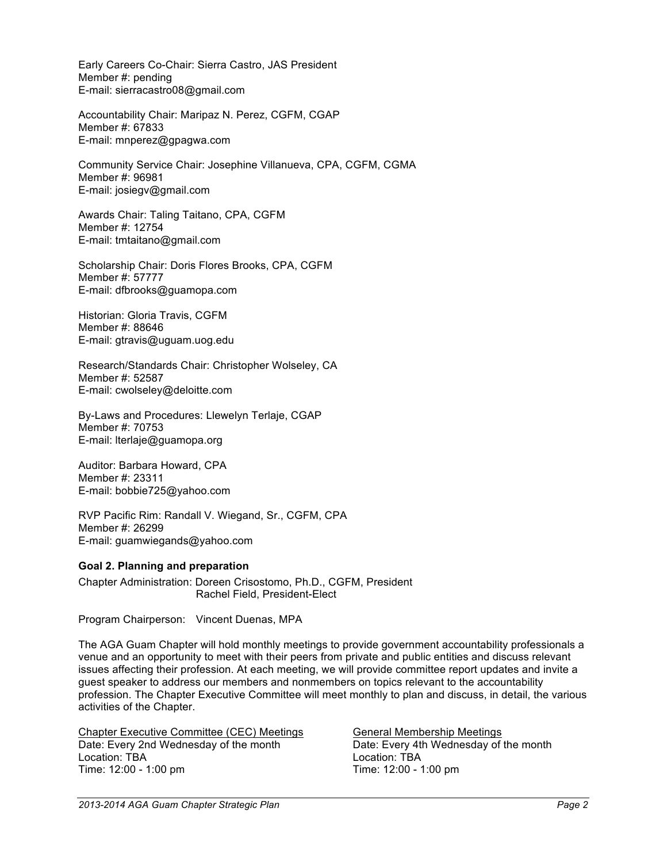Early Careers Co-Chair: Sierra Castro, JAS President Member #: pending E-mail: sierracastro08@gmail.com

Accountability Chair: Maripaz N. Perez, CGFM, CGAP Member #: 67833 E-mail: mnperez@gpagwa.com

Community Service Chair: Josephine Villanueva, CPA, CGFM, CGMA Member #: 96981 E-mail: josiegv@gmail.com

Awards Chair: Taling Taitano, CPA, CGFM Member #: 12754 E-mail: tmtaitano@gmail.com

Scholarship Chair: Doris Flores Brooks, CPA, CGFM Member #: 57777 E-mail: dfbrooks@guamopa.com

Historian: Gloria Travis, CGFM Member #: 88646 E-mail: gtravis@uguam.uog.edu

Research/Standards Chair: Christopher Wolseley, CA Member #: 52587 E-mail: cwolseley@deloitte.com

By-Laws and Procedures: Llewelyn Terlaje, CGAP Member #: 70753 E-mail: lterlaje@guamopa.org

Auditor: Barbara Howard, CPA Member #: 23311 E-mail: bobbie725@yahoo.com

RVP Pacific Rim: Randall V. Wiegand, Sr., CGFM, CPA Member #: 26299 E-mail: guamwiegands@yahoo.com

# **Goal 2. Planning and preparation**

Chapter Administration: Doreen Crisostomo, Ph.D., CGFM, President Rachel Field, President-Elect

Program Chairperson: Vincent Duenas, MPA

The AGA Guam Chapter will hold monthly meetings to provide government accountability professionals a venue and an opportunity to meet with their peers from private and public entities and discuss relevant issues affecting their profession. At each meeting, we will provide committee report updates and invite a guest speaker to address our members and nonmembers on topics relevant to the accountability profession. The Chapter Executive Committee will meet monthly to plan and discuss, in detail, the various activities of the Chapter.

Chapter Executive Committee (CEC) Meetings General Membership Meetings Date: Every 2nd Wednesday of the month Date: Every 4th Wednesday of the month Location: TBA Location: TBA Time: 12:00 - 1:00 pm Time: 12:00 - 1:00 pm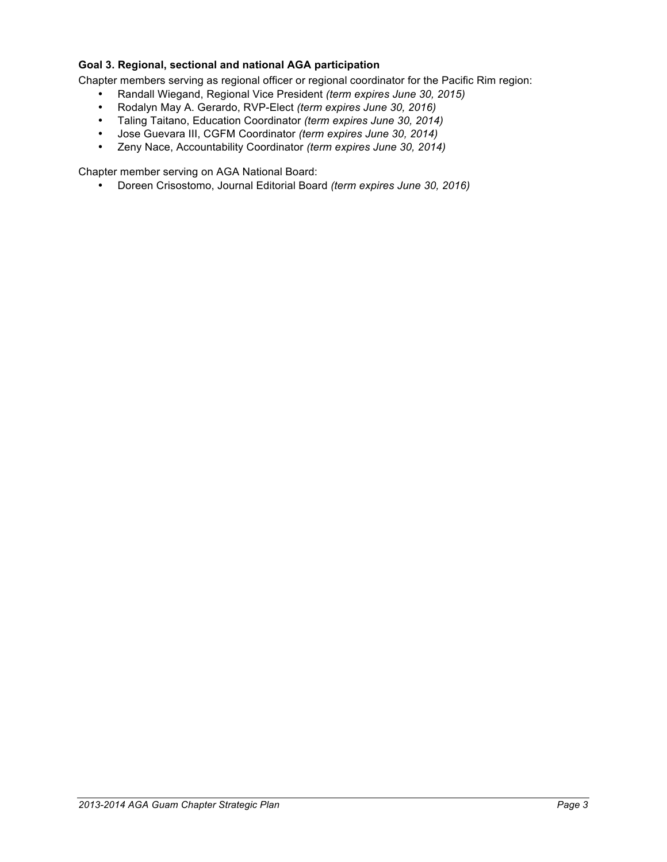# **Goal 3. Regional, sectional and national AGA participation**

Chapter members serving as regional officer or regional coordinator for the Pacific Rim region:

- Randall Wiegand, Regional Vice President *(term expires June 30, 2015)*
- Rodalyn May A. Gerardo, RVP-Elect *(term expires June 30, 2016)*
- Taling Taitano, Education Coordinator *(term expires June 30, 2014)*
- Jose Guevara III, CGFM Coordinator *(term expires June 30, 2014)*
- Zeny Nace, Accountability Coordinator *(term expires June 30, 2014)*

Chapter member serving on AGA National Board:

• Doreen Crisostomo, Journal Editorial Board *(term expires June 30, 2016)*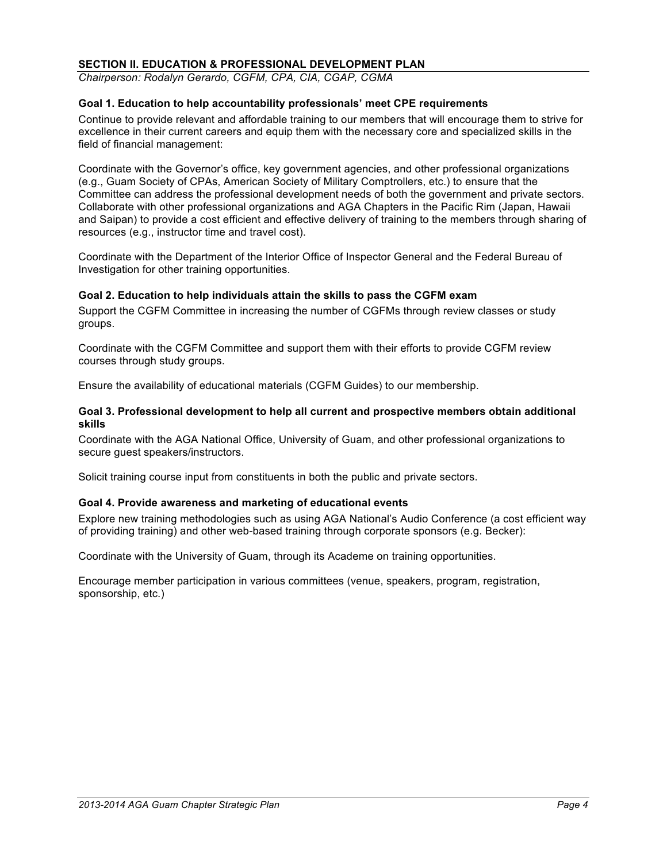#### **SECTION II. EDUCATION & PROFESSIONAL DEVELOPMENT PLAN**

*Chairperson: Rodalyn Gerardo, CGFM, CPA, CIA, CGAP, CGMA*

#### **Goal 1. Education to help accountability professionals' meet CPE requirements**

Continue to provide relevant and affordable training to our members that will encourage them to strive for excellence in their current careers and equip them with the necessary core and specialized skills in the field of financial management:

Coordinate with the Governor's office, key government agencies, and other professional organizations (e.g., Guam Society of CPAs, American Society of Military Comptrollers, etc.) to ensure that the Committee can address the professional development needs of both the government and private sectors. Collaborate with other professional organizations and AGA Chapters in the Pacific Rim (Japan, Hawaii and Saipan) to provide a cost efficient and effective delivery of training to the members through sharing of resources (e.g., instructor time and travel cost).

Coordinate with the Department of the Interior Office of Inspector General and the Federal Bureau of Investigation for other training opportunities.

#### **Goal 2. Education to help individuals attain the skills to pass the CGFM exam**

Support the CGFM Committee in increasing the number of CGFMs through review classes or study groups.

Coordinate with the CGFM Committee and support them with their efforts to provide CGFM review courses through study groups.

Ensure the availability of educational materials (CGFM Guides) to our membership.

#### **Goal 3. Professional development to help all current and prospective members obtain additional skills**

Coordinate with the AGA National Office, University of Guam, and other professional organizations to secure guest speakers/instructors.

Solicit training course input from constituents in both the public and private sectors.

#### **Goal 4. Provide awareness and marketing of educational events**

Explore new training methodologies such as using AGA National's Audio Conference (a cost efficient way of providing training) and other web-based training through corporate sponsors (e.g. Becker):

Coordinate with the University of Guam, through its Academe on training opportunities.

Encourage member participation in various committees (venue, speakers, program, registration, sponsorship, etc.)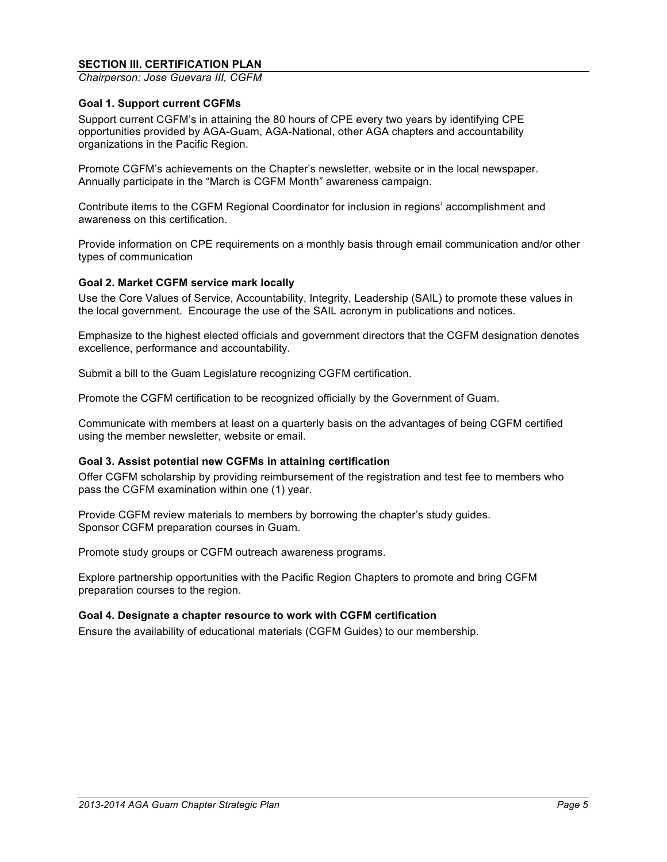# **SECTION III. CERTIFICATION PLAN**

*Chairperson: Jose Guevara III, CGFM*

#### **Goal 1. Support current CGFMs**

Support current CGFM's in attaining the 80 hours of CPE every two years by identifying CPE opportunities provided by AGA-Guam, AGA-National, other AGA chapters and accountability organizations in the Pacific Region.

Promote CGFM's achievements on the Chapter's newsletter, website or in the local newspaper. Annually participate in the "March is CGFM Month" awareness campaign.

Contribute items to the CGFM Regional Coordinator for inclusion in regions' accomplishment and awareness on this certification.

Provide information on CPE requirements on a monthly basis through email communication and/or other types of communication

#### **Goal 2. Market CGFM service mark locally**

Use the Core Values of Service, Accountability, Integrity, Leadership (SAIL) to promote these values in the local government. Encourage the use of the SAIL acronym in publications and notices.

Emphasize to the highest elected officials and government directors that the CGFM designation denotes excellence, performance and accountability.

Submit a bill to the Guam Legislature recognizing CGFM certification.

Promote the CGFM certification to be recognized officially by the Government of Guam.

Communicate with members at least on a quarterly basis on the advantages of being CGFM certified using the member newsletter, website or email.

#### **Goal 3. Assist potential new CGFMs in attaining certification**

Offer CGFM scholarship by providing reimbursement of the registration and test fee to members who pass the CGFM examination within one (1) year.

Provide CGFM review materials to members by borrowing the chapter's study guides. Sponsor CGFM preparation courses in Guam.

Promote study groups or CGFM outreach awareness programs.

Explore partnership opportunities with the Pacific Region Chapters to promote and bring CGFM preparation courses to the region.

#### **Goal 4. Designate a chapter resource to work with CGFM certification**

Ensure the availability of educational materials (CGFM Guides) to our membership.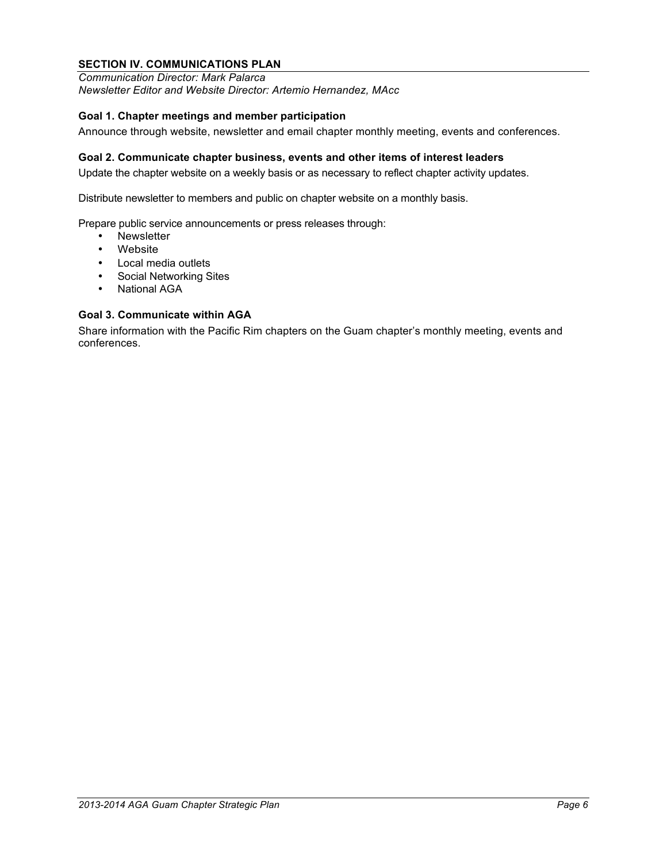# **SECTION IV. COMMUNICATIONS PLAN**

*Communication Director: Mark Palarca Newsletter Editor and Website Director: Artemio Hernandez, MAcc*

#### **Goal 1. Chapter meetings and member participation**

Announce through website, newsletter and email chapter monthly meeting, events and conferences.

# **Goal 2. Communicate chapter business, events and other items of interest leaders**

Update the chapter website on a weekly basis or as necessary to reflect chapter activity updates.

Distribute newsletter to members and public on chapter website on a monthly basis.

Prepare public service announcements or press releases through:

- Newsletter<br>• Website
- Website
- Local media outlets
- Social Networking Sites
- National AGA

# **Goal 3. Communicate within AGA**

Share information with the Pacific Rim chapters on the Guam chapter's monthly meeting, events and conferences.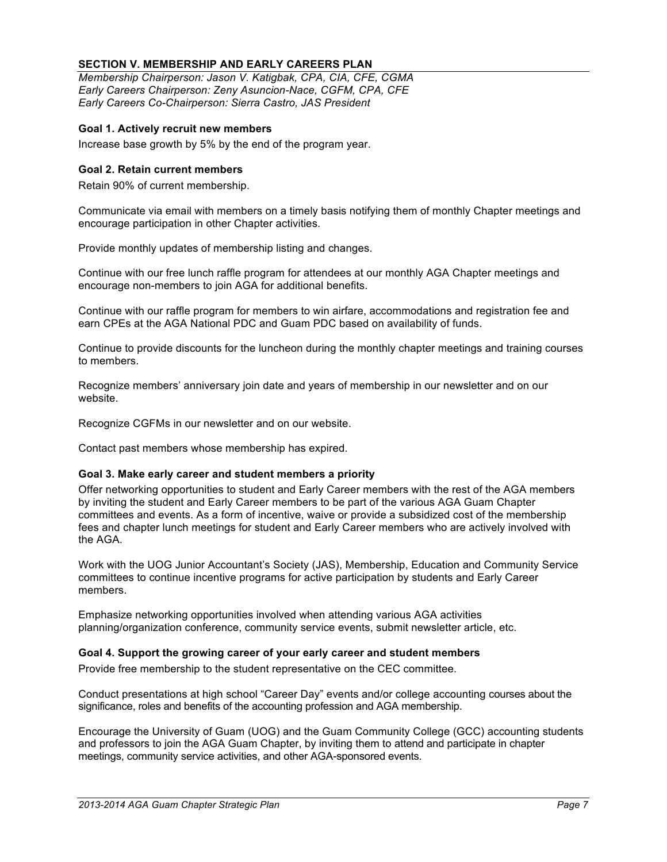#### **SECTION V. MEMBERSHIP AND EARLY CAREERS PLAN**

*Membership Chairperson: Jason V. Katigbak, CPA, CIA, CFE, CGMA Early Careers Chairperson: Zeny Asuncion-Nace, CGFM, CPA, CFE Early Careers Co-Chairperson: Sierra Castro, JAS President*

#### **Goal 1. Actively recruit new members**

Increase base growth by 5% by the end of the program year.

#### **Goal 2. Retain current members**

Retain 90% of current membership.

Communicate via email with members on a timely basis notifying them of monthly Chapter meetings and encourage participation in other Chapter activities.

Provide monthly updates of membership listing and changes.

Continue with our free lunch raffle program for attendees at our monthly AGA Chapter meetings and encourage non-members to join AGA for additional benefits.

Continue with our raffle program for members to win airfare, accommodations and registration fee and earn CPEs at the AGA National PDC and Guam PDC based on availability of funds.

Continue to provide discounts for the luncheon during the monthly chapter meetings and training courses to members.

Recognize members' anniversary join date and years of membership in our newsletter and on our website.

Recognize CGFMs in our newsletter and on our website.

Contact past members whose membership has expired.

#### **Goal 3. Make early career and student members a priority**

Offer networking opportunities to student and Early Career members with the rest of the AGA members by inviting the student and Early Career members to be part of the various AGA Guam Chapter committees and events. As a form of incentive, waive or provide a subsidized cost of the membership fees and chapter lunch meetings for student and Early Career members who are actively involved with the AGA.

Work with the UOG Junior Accountant's Society (JAS), Membership, Education and Community Service committees to continue incentive programs for active participation by students and Early Career members.

Emphasize networking opportunities involved when attending various AGA activities planning/organization conference, community service events, submit newsletter article, etc.

#### **Goal 4. Support the growing career of your early career and student members**

Provide free membership to the student representative on the CEC committee.

Conduct presentations at high school "Career Day" events and/or college accounting courses about the significance, roles and benefits of the accounting profession and AGA membership.

Encourage the University of Guam (UOG) and the Guam Community College (GCC) accounting students and professors to join the AGA Guam Chapter, by inviting them to attend and participate in chapter meetings, community service activities, and other AGA-sponsored events.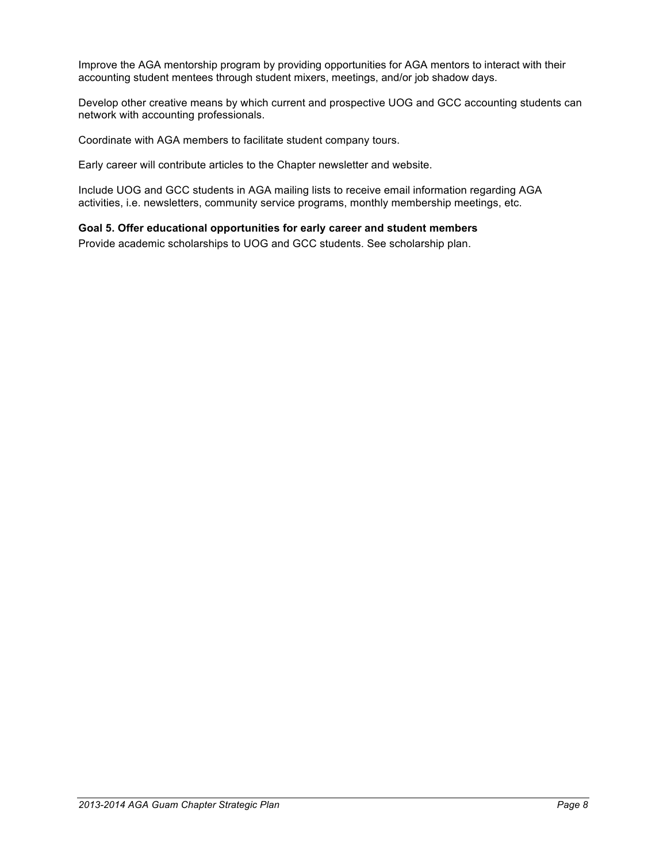Improve the AGA mentorship program by providing opportunities for AGA mentors to interact with their accounting student mentees through student mixers, meetings, and/or job shadow days.

Develop other creative means by which current and prospective UOG and GCC accounting students can network with accounting professionals.

Coordinate with AGA members to facilitate student company tours.

Early career will contribute articles to the Chapter newsletter and website.

Include UOG and GCC students in AGA mailing lists to receive email information regarding AGA activities, i.e. newsletters, community service programs, monthly membership meetings, etc.

# **Goal 5. Offer educational opportunities for early career and student members**

Provide academic scholarships to UOG and GCC students. See scholarship plan.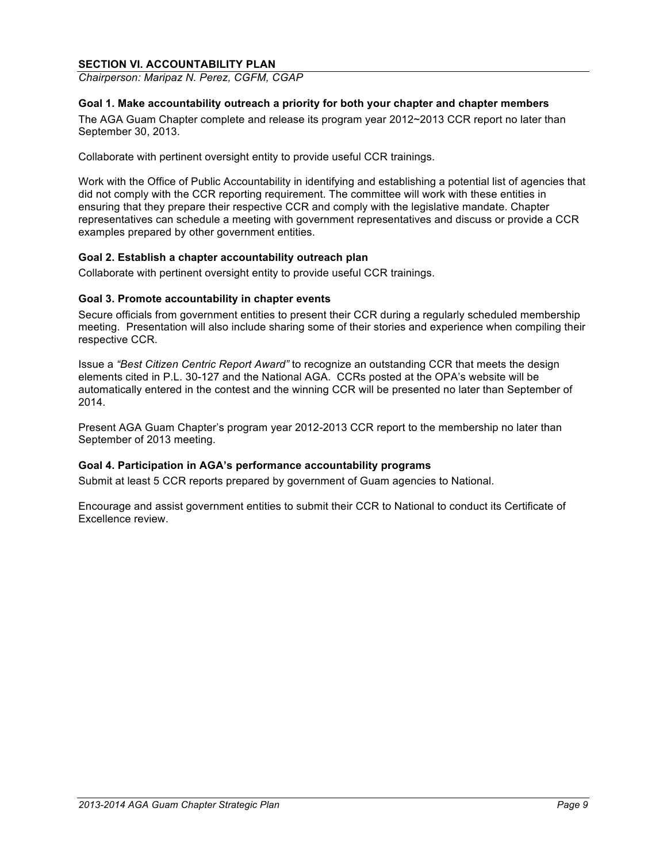#### **SECTION VI. ACCOUNTABILITY PLAN**

*Chairperson: Maripaz N. Perez, CGFM, CGAP*

#### **Goal 1. Make accountability outreach a priority for both your chapter and chapter members**

The AGA Guam Chapter complete and release its program year 2012~2013 CCR report no later than September 30, 2013.

Collaborate with pertinent oversight entity to provide useful CCR trainings.

Work with the Office of Public Accountability in identifying and establishing a potential list of agencies that did not comply with the CCR reporting requirement. The committee will work with these entities in ensuring that they prepare their respective CCR and comply with the legislative mandate. Chapter representatives can schedule a meeting with government representatives and discuss or provide a CCR examples prepared by other government entities.

#### **Goal 2. Establish a chapter accountability outreach plan**

Collaborate with pertinent oversight entity to provide useful CCR trainings.

#### **Goal 3. Promote accountability in chapter events**

Secure officials from government entities to present their CCR during a regularly scheduled membership meeting. Presentation will also include sharing some of their stories and experience when compiling their respective CCR.

Issue a *"Best Citizen Centric Report Award"* to recognize an outstanding CCR that meets the design elements cited in P.L. 30-127 and the National AGA. CCRs posted at the OPA's website will be automatically entered in the contest and the winning CCR will be presented no later than September of 2014.

Present AGA Guam Chapter's program year 2012-2013 CCR report to the membership no later than September of 2013 meeting.

#### **Goal 4. Participation in AGA's performance accountability programs**

Submit at least 5 CCR reports prepared by government of Guam agencies to National.

Encourage and assist government entities to submit their CCR to National to conduct its Certificate of Excellence review.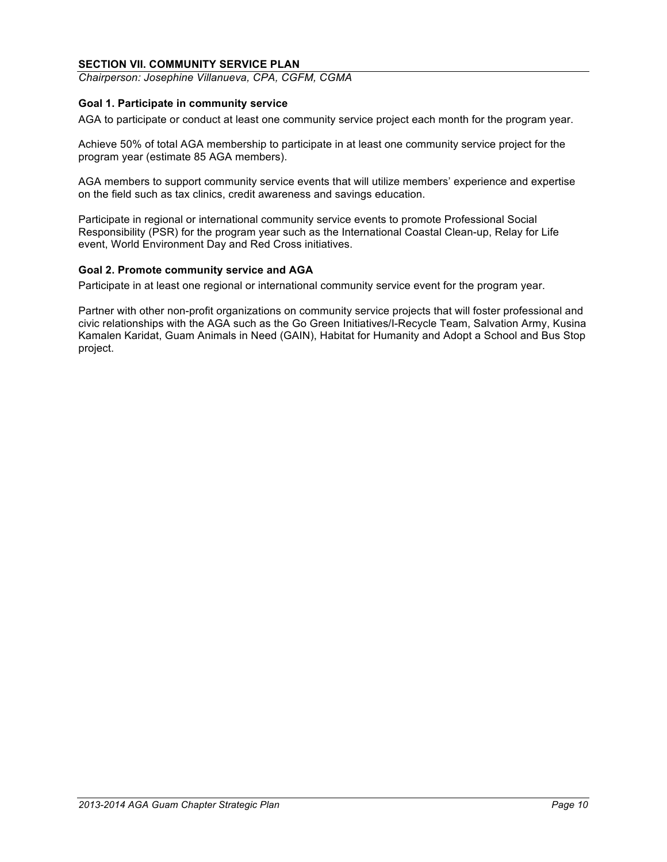#### **SECTION VII. COMMUNITY SERVICE PLAN**

*Chairperson: Josephine Villanueva, CPA, CGFM, CGMA*

#### **Goal 1. Participate in community service**

AGA to participate or conduct at least one community service project each month for the program year.

Achieve 50% of total AGA membership to participate in at least one community service project for the program year (estimate 85 AGA members).

AGA members to support community service events that will utilize members' experience and expertise on the field such as tax clinics, credit awareness and savings education.

Participate in regional or international community service events to promote Professional Social Responsibility (PSR) for the program year such as the International Coastal Clean-up, Relay for Life event, World Environment Day and Red Cross initiatives.

#### **Goal 2. Promote community service and AGA**

Participate in at least one regional or international community service event for the program year.

Partner with other non-profit organizations on community service projects that will foster professional and civic relationships with the AGA such as the Go Green Initiatives/I-Recycle Team, Salvation Army, Kusina Kamalen Karidat, Guam Animals in Need (GAIN), Habitat for Humanity and Adopt a School and Bus Stop project.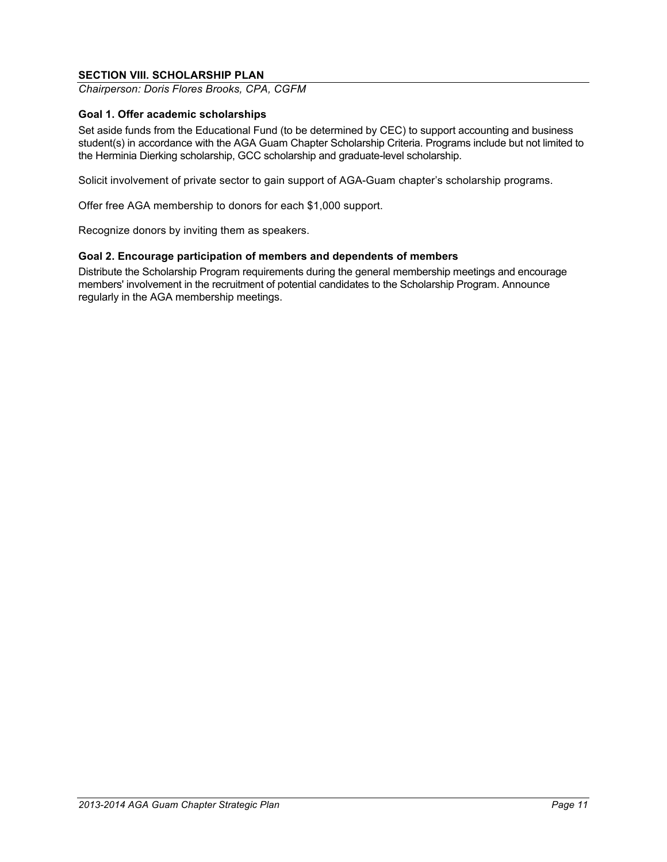# **SECTION VIII. SCHOLARSHIP PLAN**

*Chairperson: Doris Flores Brooks, CPA, CGFM*

#### **Goal 1. Offer academic scholarships**

Set aside funds from the Educational Fund (to be determined by CEC) to support accounting and business student(s) in accordance with the AGA Guam Chapter Scholarship Criteria. Programs include but not limited to the Herminia Dierking scholarship, GCC scholarship and graduate-level scholarship.

Solicit involvement of private sector to gain support of AGA-Guam chapter's scholarship programs.

Offer free AGA membership to donors for each \$1,000 support.

Recognize donors by inviting them as speakers.

#### **Goal 2. Encourage participation of members and dependents of members**

Distribute the Scholarship Program requirements during the general membership meetings and encourage members' involvement in the recruitment of potential candidates to the Scholarship Program. Announce regularly in the AGA membership meetings.